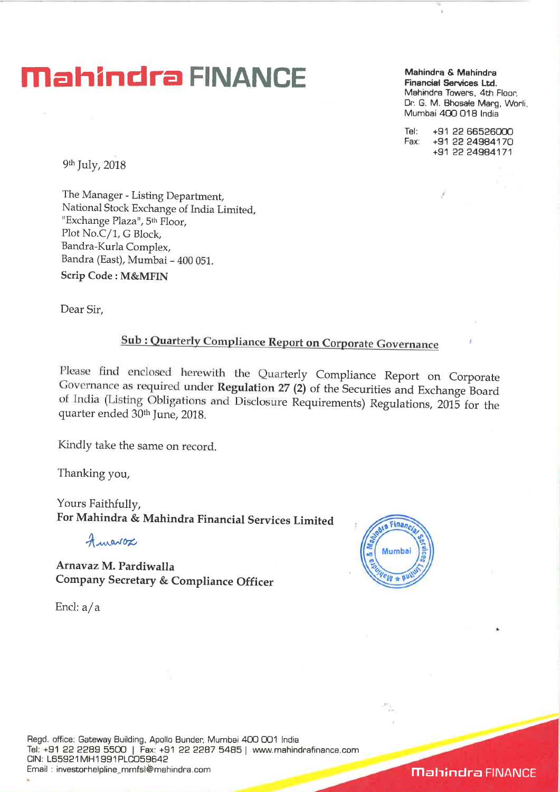## **Mahindra & Mahindra & Mahindra & Mahindra**

**Financial Services Ltd.**  Mahindra Towers, 4th Floor, Dr. G. M. Bhosale Marg, Worli, Mumbai 400 018 India

Tel: +91 22 66526000 Fax: +91 22 24984170 +91 22 24984171

9th July, 2018

The Manager - Listing Department, National Stock Exchange of India Limited, "Exchange Plaza", 5th Floor, Plot No.C/1, G Block, Bandra-Kurla Complex, Bandra (East), Mumbai - 400 051. **Scrip Code : M&MFIN** 

Dear Sir,

## **Sub : Quarterly Compliance Report on Corporate Governance**

Please find enclosed herewith the Quarterly Compliance Report on Corporate Governance as **required under Regulation 27 (2)** of the Securities and Exchange Board of India (Listing Obligations and Disclosure Requirements) Regulations, 2015 for the quarter ended 30th June, 2018.

Kindly take the same on record.

Thanking you,

Yours Faithfully, **For Mahindra & Mahindra Financial Services Limited** 

Amarox

**Arnavaz M. Pardiwalla Company Secretary & Compliance Officer** 



Encl: a/ a



**Mahindra FINANCE**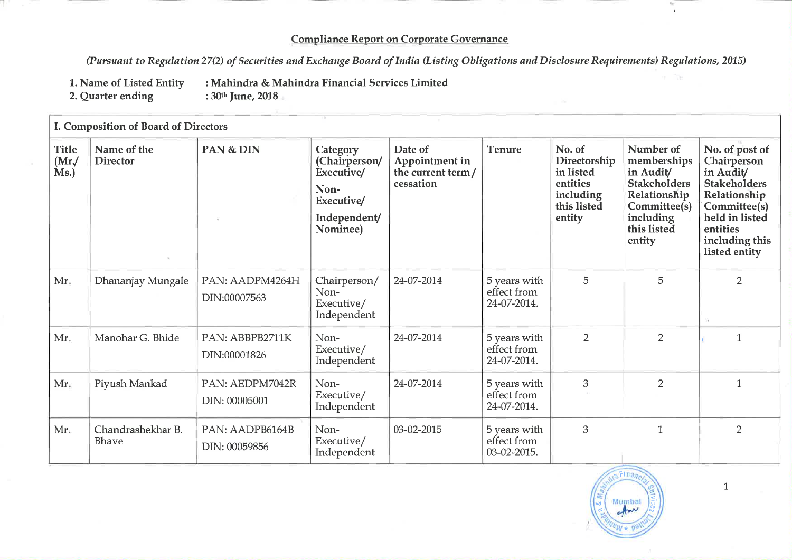## **Compliance Report on Corporate Governance**

*(Pursuant to Regulation* **27(2)** *of Securities and Exchange Board of India (Listing Obligations and Disclosure Requirements) Regulations, 2015)* 

- **1. Name of Listed Entity : Mahindra & Mahindra Financial Services Limited**
- **2. Quarter ending**
- 

| I. Composition of Board of Directors |                                |                                  |                                                                                           |                                                              |                                            |                                                                                       |                                                                                                                                    |                                                                                                                                                                    |
|--------------------------------------|--------------------------------|----------------------------------|-------------------------------------------------------------------------------------------|--------------------------------------------------------------|--------------------------------------------|---------------------------------------------------------------------------------------|------------------------------------------------------------------------------------------------------------------------------------|--------------------------------------------------------------------------------------------------------------------------------------------------------------------|
| <b>Title</b><br>(Mr)<br>Ms.)         | Name of the<br><b>Director</b> | PAN & DIN                        | Category<br>(Chairperson/<br>Executive/<br>Non-<br>Executive/<br>Independent/<br>Nominee) | Date of<br>Appointment in<br>the current term /<br>cessation | <b>Tenure</b>                              | No. of<br>Directorship<br>in listed<br>entities<br>including<br>this listed<br>entity | Number of<br>memberships<br>in Audit/<br><b>Stakeholders</b><br>Relationship<br>Committee(s)<br>including<br>this listed<br>entity | No. of post of<br>Chairperson<br>in Audit/<br><b>Stakeholders</b><br>Relationship<br>Committee(s)<br>held in listed<br>entities<br>including this<br>listed entity |
| Mr.                                  | Dhananjay Mungale              | PAN: AADPM4264H<br>DIN:00007563  | Chairperson/<br>Non-<br>Executive/<br>Independent                                         | 24-07-2014                                                   | 5 years with<br>effect from<br>24-07-2014. | 5                                                                                     | 5                                                                                                                                  | $\overline{2}$                                                                                                                                                     |
| Mr.                                  | Manohar G. Bhide               | PAN: ABBPB2711K<br>DIN:00001826  | Non-<br>Executive/<br>Independent                                                         | 24-07-2014                                                   | 5 years with<br>effect from<br>24-07-2014. | $\overline{2}$                                                                        | $\overline{2}$                                                                                                                     | $\mathbf{1}$                                                                                                                                                       |
| Mr.                                  | Piyush Mankad                  | PAN: AEDPM7042R<br>DIN: 00005001 | Non-<br>Executive/<br>Independent                                                         | 24-07-2014                                                   | 5 years with<br>effect from<br>24-07-2014. | 3                                                                                     | 2                                                                                                                                  | $\mathbf{1}$                                                                                                                                                       |
| Mr.                                  | Chandrashekhar B.<br>Bhave     | PAN: AADPB6164B<br>DIN: 00059856 | Non-<br>Executive/<br>Independent                                                         | 03-02-2015                                                   | 5 years with<br>effect from<br>03-02-2015. | 3                                                                                     | $\mathbf{1}$                                                                                                                       | $\overline{2}$                                                                                                                                                     |



1

 $\mathbf{r}$ 

r The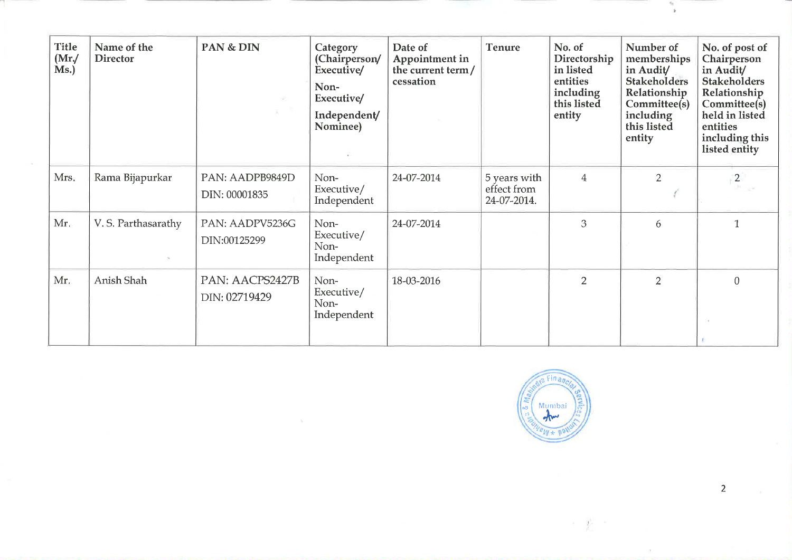| <b>Title</b><br>(Mr)<br>Ms.) | Name of the<br><b>Director</b> | PAN & DIN                        | Category<br>(Chairperson/<br>Executive/<br>Non-<br>Executive/<br>Independent/<br>Nominee) | Date of<br>Appointment in<br>the current term/<br>cessation | <b>Tenure</b>                              | No. of<br>Directorship<br>in listed<br>entities<br>including<br>this listed<br>entity | Number of<br>memberships<br>in Audit/<br><b>Stakeholders</b><br>Relationship<br>Committee(s)<br>including<br>this listed<br>entity | No. of post of<br>Chairperson<br>in Audit/<br><b>Stakeholders</b><br>Relationship<br>Committee(s)<br>held in listed<br>entities<br>including this<br>listed entity |
|------------------------------|--------------------------------|----------------------------------|-------------------------------------------------------------------------------------------|-------------------------------------------------------------|--------------------------------------------|---------------------------------------------------------------------------------------|------------------------------------------------------------------------------------------------------------------------------------|--------------------------------------------------------------------------------------------------------------------------------------------------------------------|
| Mrs.                         | Rama Bijapurkar                | PAN: AADPB9849D<br>DIN: 00001835 | Non-<br>Executive/<br>Independent                                                         | 24-07-2014                                                  | 5 years with<br>effect from<br>24-07-2014. | $\overline{4}$                                                                        | 2                                                                                                                                  | $\binom{2}{3}$                                                                                                                                                     |
| Mr.                          | V. S. Parthasarathy            | PAN: AADPV5236G<br>DIN:00125299  | Non-<br>Executive/<br>Non-<br>Independent                                                 | 24-07-2014                                                  |                                            | 3                                                                                     | 6                                                                                                                                  | $\mathbf{1}$                                                                                                                                                       |
| Mr.                          | Anish Shah                     | PAN: AACPS2427B<br>DIN: 02719429 | Non-<br>Executive/<br>Non-<br>Independent                                                 | 18-03-2016                                                  |                                            | $\overline{2}$                                                                        | $\overline{2}$                                                                                                                     | $\theta$                                                                                                                                                           |



 $\rightarrow$   $\pm$ 

2

 $\frac{\omega_{\rm c}}{2}$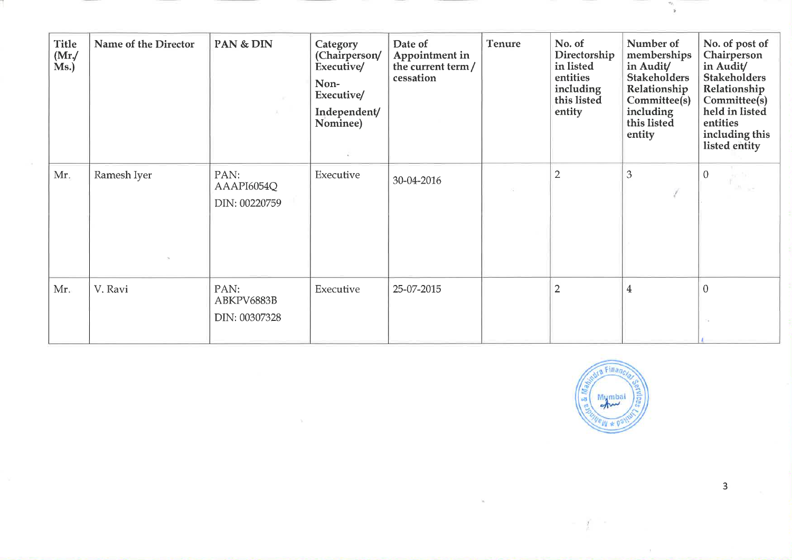| <b>Title</b><br>(Mr)<br>Ms.) | Name of the Director | PAN & DIN                           | Category<br>(Chairperson/<br>Executive/<br>Non-<br>Executive/<br>Independent/<br>Nominee) | Date of<br>Appointment in<br>the current term/<br>cessation | <b>Tenure</b> | No. of<br>Directorship<br>in listed<br>entities<br>including<br>this listed<br>entity | Number of<br>memberships<br>in Audit/<br><b>Stakeholders</b><br>Relationship<br>Committee(s)<br>including<br>this listed<br>entity | No. of post of<br>Chairperson<br>in Audit/<br><b>Stakeholders</b><br>Relationship<br>Committee(s)<br>held in listed<br>entities<br>including this<br>listed entity |
|------------------------------|----------------------|-------------------------------------|-------------------------------------------------------------------------------------------|-------------------------------------------------------------|---------------|---------------------------------------------------------------------------------------|------------------------------------------------------------------------------------------------------------------------------------|--------------------------------------------------------------------------------------------------------------------------------------------------------------------|
| Mr.                          | Ramesh Iyer          | PAN:<br>AAAPI6054Q<br>DIN: 00220759 | Executive                                                                                 | 30-04-2016                                                  |               | $\overline{2}$                                                                        | 3                                                                                                                                  | $\overline{0}$                                                                                                                                                     |
| Mr.                          | V. Ravi              | PAN:<br>ABKPV6883B<br>DIN: 00307328 | Executive                                                                                 | 25-07-2015                                                  |               | $\overline{2}$                                                                        | $\overline{\mathbf{4}}$                                                                                                            | $\mathbf{0}$<br>$\sim$                                                                                                                                             |



 $\frac{a_1}{2}$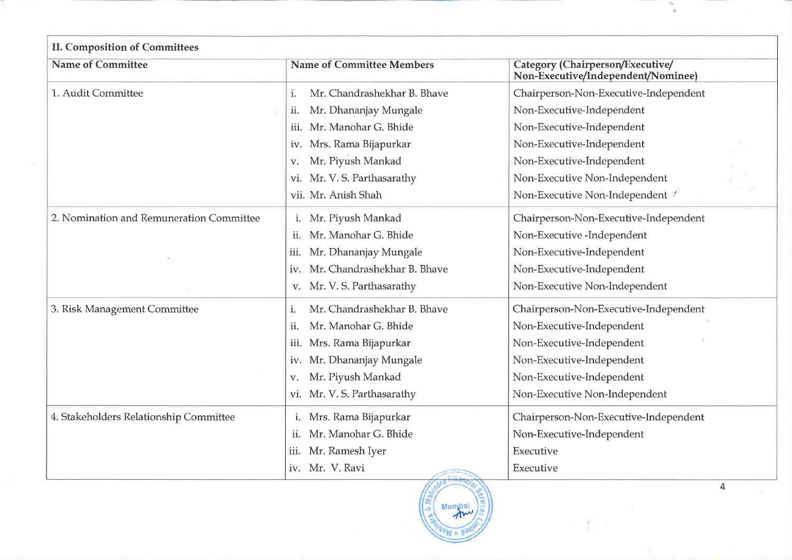| <b>Name of Committee</b>                 | <b>Name of Committee Members</b>   | Category (Chairperson/Executive/<br>Non-Executive/Independent/Nominee) |
|------------------------------------------|------------------------------------|------------------------------------------------------------------------|
| 1. Audit Committee                       | Mr. Chandrashekhar B. Bhave<br>i.  | Chairperson-Non-Executive-Independent                                  |
|                                          | Mr. Dhananjay Mungale<br>ii.       | Non-Executive-Independent                                              |
|                                          | Mr. Manohar G. Bhide<br>iii.       | Non-Executive-Independent                                              |
|                                          | Mrs. Rama Bijapurkar<br>iv.        | Non-Executive-Independent                                              |
|                                          | Mr. Piyush Mankad<br>v.            | Non-Executive-Independent                                              |
|                                          | Mr. V. S. Parthasarathy<br>vi.     | Non-Executive Non-Independent                                          |
|                                          | vii. Mr. Anish Shah                | Non-Executive Non-Independent                                          |
| 2. Nomination and Remuneration Committee | i. Mr. Piyush Mankad               | Chairperson-Non-Executive-Independent                                  |
|                                          | Mr. Manohar G. Bhide<br>ii.        | Non-Executive -Independent                                             |
|                                          | Mr. Dhananjay Mungale<br>iii.      | Non-Executive-Independent                                              |
|                                          | Mr. Chandrashekhar B. Bhave<br>iv. | Non-Executive-Independent                                              |
|                                          | Mr. V. S. Parthasarathy<br>V.      | Non-Executive Non-Independent                                          |
| 3. Risk Management Committee             | Mr. Chandrashekhar B. Bhave<br>i.  | Chairperson-Non-Executive-Independent                                  |
|                                          | Mr. Manohar G. Bhide<br>ii.        | Non-Executive-Independent                                              |
|                                          | Mrs. Rama Bijapurkar<br>iii.       | Non-Executive-Independent                                              |
|                                          | Mr. Dhananjay Mungale<br>IV.       | Non-Executive-Independent                                              |
|                                          | Mr. Piyush Mankad<br>V.            | Non-Executive-Independent                                              |
|                                          | Mr. V. S. Parthasarathy<br>Vİ.     | Non-Executive Non-Independent                                          |
| 4. Stakeholders Relationship Committee   | i. Mrs. Rama Bijapurkar            | Chairperson-Non-Executive-Independent                                  |
|                                          | Mr. Manohar G. Bhide<br>ii.        | Non-Executive-Independent                                              |
|                                          | Mr. Ramesh Iyer<br>iii.            | Executive                                                              |
|                                          | Mr. V. Ravi<br>iv.                 | Executive                                                              |



 $\tau_{\rm ff}$  $\tilde{y}$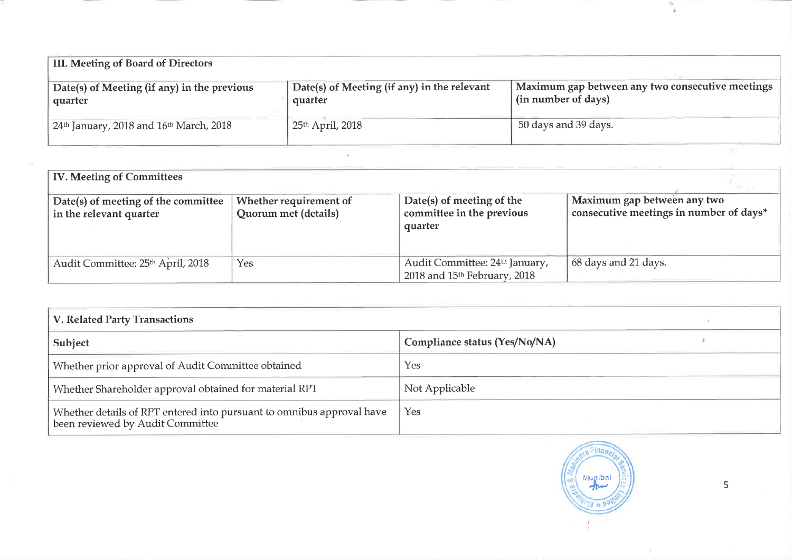| III. Meeting of Board of Directors                              |                                                        |                                                                         |  |  |  |  |
|-----------------------------------------------------------------|--------------------------------------------------------|-------------------------------------------------------------------------|--|--|--|--|
| Date(s) of Meeting (if any) in the previous<br>quarter          | Date(s) of Meeting (if any) in the relevant<br>quarter | Maximum gap between any two consecutive meetings<br>(in number of days) |  |  |  |  |
| 24 <sup>th</sup> January, 2018 and 16 <sup>th</sup> March, 2018 | $\vert$ 25 <sup>th</sup> April, 2018                   | 50 days and 39 days.                                                    |  |  |  |  |

| <b>IV. Meeting of Committees</b>                               |                                                |                                                                            |                                                                        |
|----------------------------------------------------------------|------------------------------------------------|----------------------------------------------------------------------------|------------------------------------------------------------------------|
| Date(s) of meeting of the committee<br>in the relevant quarter | Whether requirement of<br>Quorum met (details) | Date(s) of meeting of the<br>committee in the previous<br>quarter          | Maximum gap between any two<br>consecutive meetings in number of days* |
| Audit Committee: 25th April, 2018                              | Yes                                            | Audit Committee: 24th January,<br>2018 and 15 <sup>th</sup> February, 2018 | 68 days and 21 days.                                                   |

| V. Related Party Transactions                                                                             |                               |  |  |  |
|-----------------------------------------------------------------------------------------------------------|-------------------------------|--|--|--|
| Subject                                                                                                   | Compliance status (Yes/No/NA) |  |  |  |
| Whether prior approval of Audit Committee obtained                                                        | Yes                           |  |  |  |
| Whether Shareholder approval obtained for material RPT                                                    | Not Applicable                |  |  |  |
| Whether details of RPT entered into pursuant to omnibus approval have<br>been reviewed by Audit Committee | Yes                           |  |  |  |



5

 $\epsilon_{\rm K}$  $\bar{\mathbf{x}}$